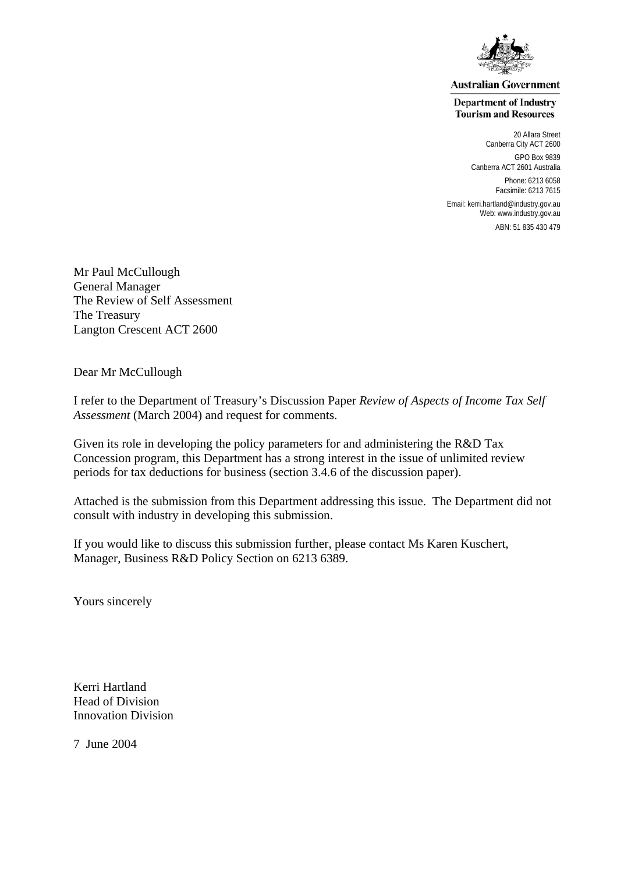

**Australian Government** 

**Department of Industry Tourism and Resources** 

> 20 Allara Street Canberra City ACT 2600 GPO Box 9839 Canberra ACT 2601 Australia Phone: 6213 6058 Facsimile: 6213 7615

Email: kerri.hartland@industry.gov.au Web: [www.industry.gov.au](http://www.industry.gov.au/)

ABN: 51 835 430 479

Mr Paul McCullough General Manager The Review of Self Assessment The Treasury Langton Crescent ACT 2600

Dear Mr McCullough

I refer to the Department of Treasury's Discussion Paper *Review of Aspects of Income Tax Self Assessment* (March 2004) and request for comments.

Given its role in developing the policy parameters for and administering the R&D Tax Concession program, this Department has a strong interest in the issue of unlimited review periods for tax deductions for business (section 3.4.6 of the discussion paper).

Attached is the submission from this Department addressing this issue. The Department did not consult with industry in developing this submission.

If you would like to discuss this submission further, please contact Ms Karen Kuschert, Manager, Business R&D Policy Section on 6213 6389.

Yours sincerely

Kerri Hartland Head of Division Innovation Division

7 June 2004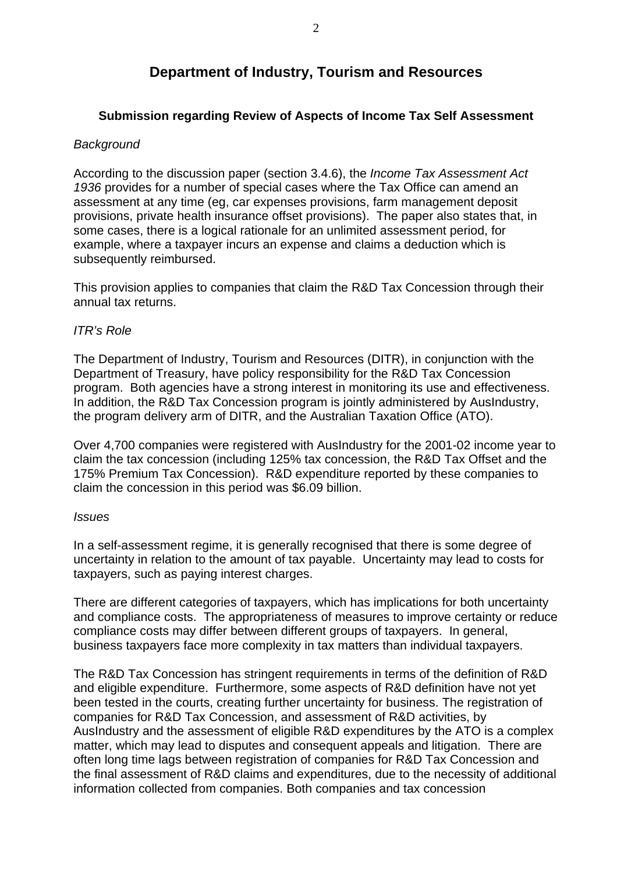# **Department of Industry, Tourism and Resources**

# **Submission regarding Review of Aspects of Income Tax Self Assessment**

### *Background*

According to the discussion paper (section 3.4.6), the *Income Tax Assessment Act 1936* provides for a number of special cases where the Tax Office can amend an assessment at any time (eg, car expenses provisions, farm management deposit provisions, private health insurance offset provisions). The paper also states that, in some cases, there is a logical rationale for an unlimited assessment period, for example, where a taxpayer incurs an expense and claims a deduction which is subsequently reimbursed.

This provision applies to companies that claim the R&D Tax Concession through their annual tax returns.

# *ITR's Role*

The Department of Industry, Tourism and Resources (DITR), in conjunction with the Department of Treasury, have policy responsibility for the R&D Tax Concession program. Both agencies have a strong interest in monitoring its use and effectiveness. In addition, the R&D Tax Concession program is jointly administered by AusIndustry, the program delivery arm of DITR, and the Australian Taxation Office (ATO).

Over 4,700 companies were registered with AusIndustry for the 2001-02 income year to claim the tax concession (including 125% tax concession, the R&D Tax Offset and the 175% Premium Tax Concession). R&D expenditure reported by these companies to claim the concession in this period was \$6.09 billion.

#### *Issues*

In a self-assessment regime, it is generally recognised that there is some degree of uncertainty in relation to the amount of tax payable. Uncertainty may lead to costs for taxpayers, such as paying interest charges.

There are different categories of taxpayers, which has implications for both uncertainty and compliance costs. The appropriateness of measures to improve certainty or reduce compliance costs may differ between different groups of taxpayers. In general, business taxpayers face more complexity in tax matters than individual taxpayers.

The R&D Tax Concession has stringent requirements in terms of the definition of R&D and eligible expenditure. Furthermore, some aspects of R&D definition have not yet been tested in the courts, creating further uncertainty for business. The registration of companies for R&D Tax Concession, and assessment of R&D activities, by AusIndustry and the assessment of eligible R&D expenditures by the ATO is a complex matter, which may lead to disputes and consequent appeals and litigation. There are often long time lags between registration of companies for R&D Tax Concession and the final assessment of R&D claims and expenditures, due to the necessity of additional information collected from companies. Both companies and tax concession